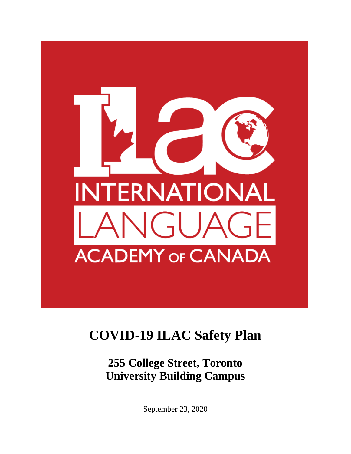

## **COVID-19 ILAC Safety Plan**

**255 College Street, Toronto University Building Campus**

September 23, 2020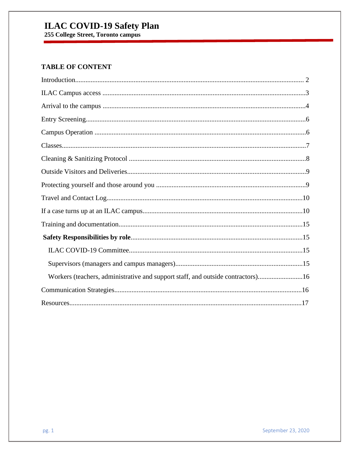# **ILAC COVID-19 Safety Plan**<br>255 College Street, Toronto campus

## **TABLE OF CONTENT**

| Workers (teachers, administrative and support staff, and outside contractors)16 |
|---------------------------------------------------------------------------------|
|                                                                                 |
|                                                                                 |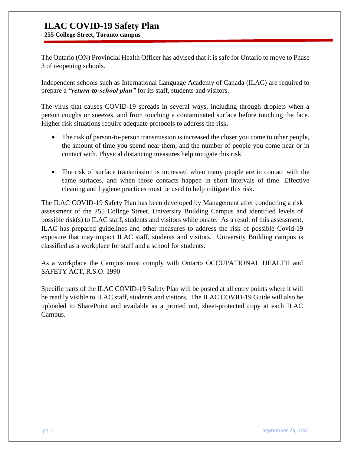**255 College Street, Toronto campus**

The Ontario (ON) Provincial Health Officer has advised that it is safe for Ontario to move to Phase 3 of reopening schools.

Independent schools such as International Language Academy of Canada (ILAC) are required to prepare a *"return-to-school plan"* for its staff, students and visitors.

The virus that causes COVID-19 spreads in several ways, including through droplets when a person coughs or sneezes, and from touching a contaminated surface before touching the face. Higher risk situations require adequate protocols to address the risk.

- The risk of person-to-person transmission is increased the closer you come to other people, the amount of time you spend near them, and the number of people you come near or in contact with. Physical distancing measures help mitigate this risk.
- The risk of surface transmission is increased when many people are in contact with the same surfaces, and when those contacts happen in short intervals of time. Effective cleaning and hygiene practices must be used to help mitigate this risk.

The ILAC COVID-19 Safety Plan has been developed by Management after conducting a risk assessment of the 255 College Street, University Building Campus and identified levels of possible risk(s) to ILAC staff, students and visitors while onsite. As a result of this assessment, ILAC has prepared guidelines and other measures to address the risk of possible Covid-19 exposure that may impact ILAC staff, students and visitors. University Building campus is classified as a workplace for staff and a school for students.

As a workplace the Campus must comply with Ontario OCCUPATIONAL HEALTH and SAFETY ACT, R.S.O. 1990

Specific parts of the ILAC COVID-19 Safety Plan will be posted at all entry points where it will be readily visible to ILAC staff, students and visitors. The ILAC COVID-19 Guide will also be uploaded to SharePoint and available as a printed out, sheet-protected copy at each ILAC Campus.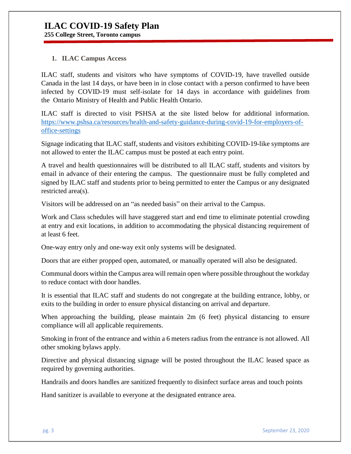**255 College Street, Toronto campus**

#### **1. ILAC Campus Access**

ILAC staff, students and visitors who have symptoms of COVID-19, have travelled outside Canada in the last 14 days, or have been in in close contact with a person confirmed to have been infected by COVID-19 must self-isolate for 14 days in accordance with guidelines from the Ontario Ministry of Health and Public Health Ontario.

ILAC staff is directed to visit PSHSA at the site listed below for additional information. [https://www.pshsa.ca/resources/health-and-safety-guidance-during-covid-19-for-employers-of](https://www.pshsa.ca/resources/health-and-safety-guidance-during-covid-19-for-employers-of-office-settings)[office-settings](https://www.pshsa.ca/resources/health-and-safety-guidance-during-covid-19-for-employers-of-office-settings)

Signage indicating that ILAC staff, students and visitors exhibiting COVID-19-like symptoms are not allowed to enter the ILAC campus must be posted at each entry point.

A travel and health questionnaires will be distributed to all ILAC staff, students and visitors by email in advance of their entering the campus. The questionnaire must be fully completed and signed by ILAC staff and students prior to being permitted to enter the Campus or any designated restricted area(s).

Visitors will be addressed on an "as needed basis" on their arrival to the Campus.

Work and Class schedules will have staggered start and end time to eliminate potential crowding at entry and exit locations, in addition to accommodating the physical distancing requirement of at least 6 feet.

One-way entry only and one-way exit only systems will be designated.

Doors that are either propped open, automated, or manually operated will also be designated.

Communal doors within the Campus area will remain open where possible throughout the workday to reduce contact with door handles.

It is essential that ILAC staff and students do not congregate at the building entrance, lobby, or exits to the building in order to ensure physical distancing on arrival and departure.

When approaching the building, please maintain 2m (6 feet) physical distancing to ensure compliance will all applicable requirements.

Smoking in front of the entrance and within a 6 meters radius from the entrance is not allowed. All other smoking bylaws apply.

Directive and physical distancing signage will be posted throughout the ILAC leased space as required by governing authorities.

Handrails and doors handles are sanitized frequently to disinfect surface areas and touch points

Hand sanitizer is available to everyone at the designated entrance area.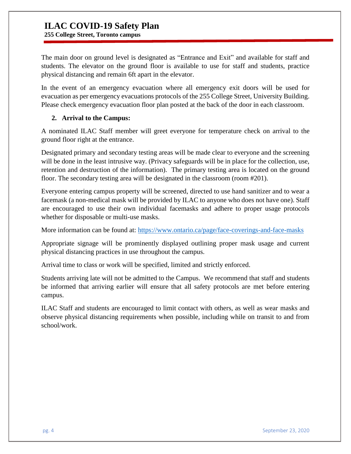**255 College Street, Toronto campus**

The main door on ground level is designated as "Entrance and Exit" and available for staff and students. The elevator on the ground floor is available to use for staff and students, practice physical distancing and remain 6ft apart in the elevator.

In the event of an emergency evacuation where all emergency exit doors will be used for evacuation as per emergency evacuations protocols of the 255 College Street, University Building. Please check emergency evacuation floor plan posted at the back of the door in each classroom.

#### **2. Arrival to the Campus:**

A nominated ILAC Staff member will greet everyone for temperature check on arrival to the ground floor right at the entrance.

Designated primary and secondary testing areas will be made clear to everyone and the screening will be done in the least intrusive way. (Privacy safeguards will be in place for the collection, use, retention and destruction of the information). The primary testing area is located on the ground floor. The secondary testing area will be designated in the classroom (room #201).

Everyone entering campus property will be screened, directed to use hand sanitizer and to wear a facemask (a non-medical mask will be provided by ILAC to anyone who does not have one). Staff are encouraged to use their own individual facemasks and adhere to proper usage protocols whether for disposable or multi-use masks.

More information can be found at:<https://www.ontario.ca/page/face-coverings-and-face-masks>

Appropriate signage will be prominently displayed outlining proper mask usage and current physical distancing practices in use throughout the campus.

Arrival time to class or work will be specified, limited and strictly enforced.

Students arriving late will not be admitted to the Campus. We recommend that staff and students be informed that arriving earlier will ensure that all safety protocols are met before entering campus.

ILAC Staff and students are encouraged to limit contact with others, as well as wear masks and observe physical distancing requirements when possible, including while on transit to and from school/work.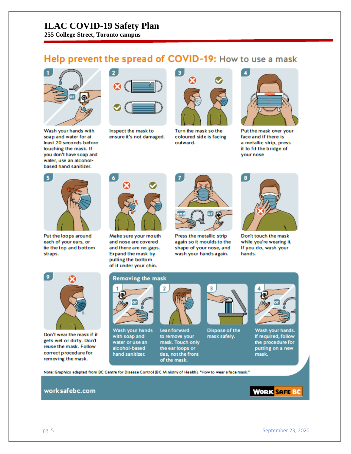**255 College Street, Toronto campus**

## Help prevent the spread of COVID-19: How to use a mask



Wash your hands with soap and water for at least 20 seconds before touching the mask. If you don't have soap and water, use an alcoholbased hand sanitizer.



Inspect the mask to ensure it's not damaged.



Turn the mask so the coloured side is facing outward.



Put the mask over your face and if there is a metallic strip, press it to fit the bridge of your nose



Put the loops around each of your ears, or tie the top and bottom straps.



Make sure your mouth and nose are covered and there are no gaps. Expand the mask by pulling the bottom of it under your chin.



Press the metallic strip again so it moulds to the shape of your nose, and wash your hands again.



Don't touch the mask while you're wearing it. If you do, wash your hands.



Don't wear the mask if it gets wet or dirty. Don't reuse the mask. Follow correct procedure for removing the mask.

#### **Removing the mask**



Wash your hands with soap and water or use an alcohol-based hand sanitizer.



**Lean forward** to remove your mask. Touch only the ear loops or ties, not the front of the mask.



Dispose of the mask safely.



Wash your hands. If required, follow the procedure for putting on a new mask.

Note: Graphics adapted from BC Centre for Disease Control (BC Ministry of Health), "How to wear a face mask."

#### worksafebc.com

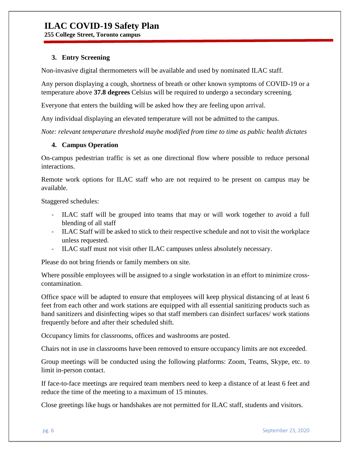**255 College Street, Toronto campus**

#### **3. Entry Screening**

Non-invasive digital thermometers will be available and used by nominated ILAC staff.

Any person displaying a cough, shortness of breath or other known symptoms of COVID-19 or a temperature above **37.8 degrees** Celsius will be required to undergo a secondary screening.

Everyone that enters the building will be asked how they are feeling upon arrival.

Any individual displaying an elevated temperature will not be admitted to the campus.

*Note: relevant temperature threshold maybe modified from time to time as public health dictates*

#### **4. Campus Operation**

On-campus pedestrian traffic is set as one directional flow where possible to reduce personal interactions.

Remote work options for ILAC staff who are not required to be present on campus may be available.

Staggered schedules:

- ILAC staff will be grouped into teams that may or will work together to avoid a full blending of all staff
- ILAC Staff will be asked to stick to their respective schedule and not to visit the workplace unless requested.
- ILAC staff must not visit other ILAC campuses unless absolutely necessary.

Please do not bring friends or family members on site.

Where possible employees will be assigned to a single workstation in an effort to minimize crosscontamination.

Office space will be adapted to ensure that employees will keep physical distancing of at least 6 feet from each other and work stations are equipped with all essential sanitizing products such as hand sanitizers and disinfecting wipes so that staff members can disinfect surfaces/ work stations frequently before and after their scheduled shift.

[Occupancy limits](https://www.worksafebc.com/en/resources/health-safety/posters/help-prevent-spread-covid-19-occupancy-limit?lang=en) for classrooms, offices and washrooms are posted.

Chairs not in use in classrooms have been removed to ensure occupancy limits are not exceeded.

Group meetings will be conducted using the following platforms: Zoom, Teams, Skype, etc. to limit in-person contact.

If face-to-face meetings are required team members need to keep a distance of at least 6 feet and reduce the time of the meeting to a maximum of 15 minutes.

Close greetings like hugs or handshakes are not permitted for ILAC staff, students and visitors.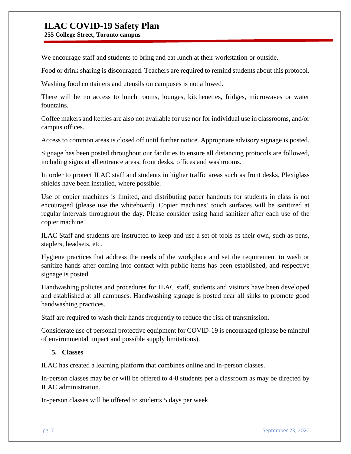**255 College Street, Toronto campus**

We encourage staff and students to bring and eat lunch at their workstation or outside.

Food or drink sharing is discouraged. Teachers are required to remind students about this protocol.

Washing food containers and utensils on campuses is not allowed.

There will be no access to lunch rooms, lounges, kitchenettes, fridges, microwaves or water fountains.

Coffee makers and kettles are also not available for use nor for individual use in classrooms, and/or campus offices.

Access to common areas is closed off until further notice. Appropriate advisory signage is posted.

Signage has been posted throughout our facilities to ensure all distancing protocols are followed, including signs at all entrance areas, front desks, offices and washrooms.

In order to protect ILAC staff and students in higher traffic areas such as front desks, Plexiglass shields have been installed, where possible.

Use of copier machines is limited, and distributing paper handouts for students in class is not encouraged (please use the whiteboard). Copier machines' touch surfaces will be sanitized at regular intervals throughout the day. Please consider using hand sanitizer after each use of the copier machine.

ILAC Staff and students are instructed to keep and use a set of tools as their own, such as pens, staplers, headsets, etc.

[Hygiene practices](https://www.worksafebc.com/en/resources/health-safety/posters/help-prevent-spread-covid-19-handwashing?lang=en) that address the needs of the workplace and set the requirement to wash or sanitize hands after coming into contact with public items has been established, and respective signage is posted.

Handwashing policies and procedures for ILAC staff, students and visitors have been developed and established at all campuses. [Handwashing signage](https://www.worksafebc.com/en/resources/health-safety/posters/help-prevent-spread-covid-19-handwashing?lang=en) is posted near all sinks to promote good handwashing practices.

Staff are required to wash their hands frequently to reduce the risk of transmission.

Considerate use of personal protective equipment for COVID-19 is encouraged (please be mindful of environmental impact and possible supply limitations).

#### **5. Classes**

ILAC has created a learning platform that combines online and in-person classes.

In-person classes may be or will be offered to 4-8 students per a classroom as may be directed by ILAC administration.

In-person classes will be offered to students 5 days per week.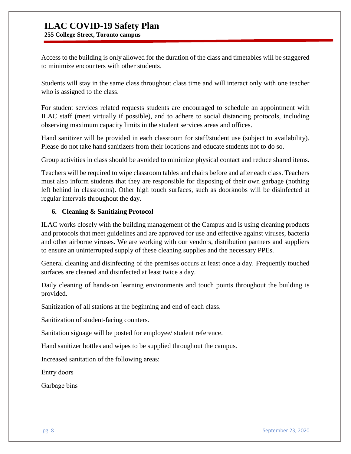**255 College Street, Toronto campus**

Access to the building is only allowed for the duration of the class and timetables will be staggered to minimize encounters with other students.

Students will stay in the same class throughout class time and will interact only with one teacher who is assigned to the class.

For student services related requests students are encouraged to schedule an appointment with ILAC staff (meet virtually if possible), and to adhere to social distancing protocols, including observing maximum capacity limits in the student services areas and offices.

Hand sanitizer will be provided in each classroom for staff/student use (subject to availability). Please do not take hand sanitizers from their locations and educate students not to do so.

Group activities in class should be avoided to minimize physical contact and reduce shared items.

Teachers will be required to wipe classroom tables and chairs before and after each class. Teachers must also inform students that they are responsible for disposing of their own garbage (nothing left behind in classrooms). Other high touch surfaces, such as doorknobs will be disinfected at regular intervals throughout the day.

#### **6. Cleaning & Sanitizing Protocol**

ILAC works closely with the building management of the Campus and is using cleaning products and protocols that meet guidelines and are approved for use and effective against viruses, bacteria and other airborne viruses. We are working with our vendors, distribution partners and suppliers to ensure an uninterrupted supply of these cleaning supplies and the necessary PPEs.

General cleaning and disinfecting of the premises occurs at least once a day. Frequently touched surfaces are cleaned and disinfected at least twice a day.

Daily cleaning of hands-on learning environments and touch points throughout the building is provided.

Sanitization of all stations at the beginning and end of each class.

Sanitization of student-facing counters.

Sanitation signage will be posted for employee/ student reference.

Hand sanitizer bottles and wipes to be supplied throughout the campus.

Increased sanitation of the following areas:

Entry doors 

Garbage bins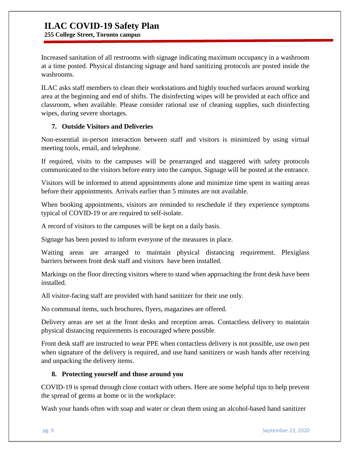**255 College Street, Toronto campus**

Increased sanitation of all restrooms with signage indicating maximum occupancy in a washroom at a time posted. Physical distancing signage and hand sanitizing protocols are posted inside the washrooms.

ILAC asks staff members to clean their workstations and highly touched surfaces around working area at the beginning and end of shifts. The disinfecting wipes will be provided at each office and classroom, when available. Please consider rational use of cleaning supplies, such disinfecting wipes, during severe shortages.

#### **7. Outside Visitors and Deliveries**

Non-essential in-person interaction between staff and visitors is minimized by using virtual meeting tools, email, and telephone.

If required, visits to the campuses will be prearranged and staggered with safety protocols communicated to the visitors before entry into the campus. Signage will be posted at the entrance.

Visitors will be informed to attend appointments alone and minimize time spent in waiting areas before their appointments. Arrivals earlier than 5 minutes are not available.

When booking appointments, visitors are reminded to reschedule if they experience symptoms typical of COVID-19 or are required to self-isolate.

A record of visitors to the campuses will be kept on a daily basis.

Signage has been posted to inform everyone of the measures in place.

Waiting areas are arranged to maintain physical distancing requirement. Plexiglass barriers between front desk staff and visitors have been installed.

Markings on the floor directing visitors where to stand when approaching the front desk have been installed.

All visitor-facing staff are provided with hand sanitizer for their use only.

No communal items, such brochures, flyers, magazines are offered.

Delivery areas are set at the front desks and reception areas. Contactless delivery to maintain physical distancing requirements is encouraged where possible.

Front desk staff are instructed to wear PPE when contactless delivery is not possible, use own pen when signature of the delivery is required, and use hand sanitizers or wash hands after receiving and unpacking the delivery items.

#### **8. Protecting yourself and those around you**

COVID-19 is spread through close contact with others. Here are some helpful tips to help prevent the spread of germs at home or in the workplace:

Wash your hands often with soap and water or clean them using an alcohol-based hand sanitizer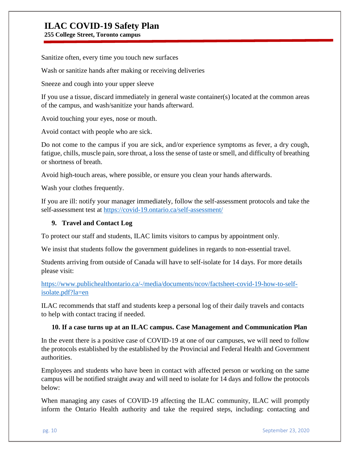**255 College Street, Toronto campus**

Sanitize often, every time you touch new surfaces

Wash or sanitize hands after making or receiving deliveries

Sneeze and cough into your upper sleeve

If you use a tissue, discard immediately in general waste container(s) located at the common areas of the campus, and wash/sanitize your hands afterward.

Avoid touching your eyes, nose or mouth.

Avoid contact with people who are sick.

Do not come to the campus if you are sick, and/or experience symptoms as fever, a dry cough, fatigue, chills, muscle pain, sore throat, a loss the sense of taste or smell, and difficulty of breathing or shortness of breath.

Avoid high-touch areas, where possible, or ensure you clean your hands afterwards.

Wash your clothes frequently.

If you are ill: notify your manager immediately, follow the self-assessment protocols and take the self-assessment test at <https://covid-19.ontario.ca/self-assessment/>

#### **9. Travel and Contact Log**

To protect our staff and students, ILAC limits visitors to campus by appointment only.

We insist that students follow the government guidelines in regards to non-essential travel.

Students arriving from outside of Canada will have to self-isolate for 14 days. For more details please visit:

[https://www.publichealthontario.ca/-/media/documents/ncov/factsheet-covid-19-how-to-self](https://www.publichealthontario.ca/-/media/documents/ncov/factsheet-covid-19-how-to-self-isolate.pdf?la=en)[isolate.pdf?la=en](https://www.publichealthontario.ca/-/media/documents/ncov/factsheet-covid-19-how-to-self-isolate.pdf?la=en)

ILAC recommends that staff and students keep a personal log of their daily travels and contacts to help with contact tracing if needed.

#### **10. If a case turns up at an ILAC campus. Case Management and Communication Plan**

In the event there is a positive case of COVID-19 at one of our campuses, we will need to follow the protocols established by the established by the Provincial and Federal Health and Government authorities.

Employees and students who have been in contact with affected person or working on the same campus will be notified straight away and will need to isolate for 14 days and follow the protocols below:

When managing any cases of COVID-19 affecting the ILAC community, ILAC will promptly inform the Ontario Health authority and take the required steps, including: contacting and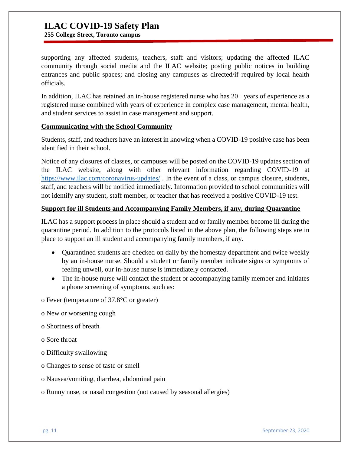**255 College Street, Toronto campus**

supporting any affected students, teachers, staff and visitors; updating the affected ILAC community through social media and the ILAC website; posting public notices in building entrances and public spaces; and closing any campuses as directed/if required by local health officials.

In addition, ILAC has retained an in-house registered nurse who has 20+ years of experience as a registered nurse combined with years of experience in complex case management, mental health, and student services to assist in case management and support.

#### **Communicating with the School Community**

Students, staff, and teachers have an interest in knowing when a COVID-19 positive case has been identified in their school.

Notice of any closures of classes, or campuses will be posted on the COVID-19 updates section of the ILAC website, along with other relevant information regarding COVID-19 at <https://www.ilac.com/coronavirus-updates/>. In the event of a class, or campus closure, students, staff, and teachers will be notified immediately. Information provided to school communities will not identify any student, staff member, or teacher that has received a positive COVID-19 test.

#### **Support for ill Students and Accompanying Family Members, if any, during Quarantine**

ILAC has a support process in place should a student and or family member become ill during the quarantine period. In addition to the protocols listed in the above plan, the following steps are in place to support an ill student and accompanying family members, if any.

- Quarantined students are checked on daily by the homestay department and twice weekly by an in-house nurse. Should a student or family member indicate signs or symptoms of feeling unwell, our in-house nurse is immediately contacted.
- The in-house nurse will contact the student or accompanying family member and initiates a phone screening of symptoms, such as:

o Fever (temperature of 37.8°C or greater)

- o New or worsening cough
- o Shortness of breath
- o Sore throat
- o Difficulty swallowing
- o Changes to sense of taste or smell
- o Nausea/vomiting, diarrhea, abdominal pain
- o Runny nose, or nasal congestion (not caused by seasonal allergies)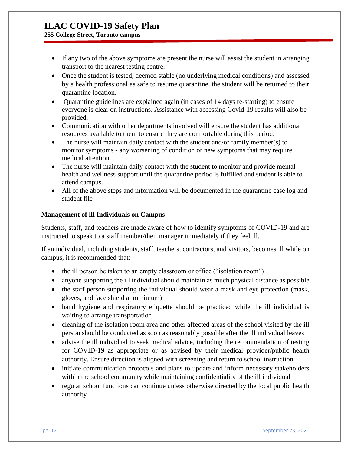**255 College Street, Toronto campus**

- If any two of the above symptoms are present the nurse will assist the student in arranging transport to the nearest testing centre.
- Once the student is tested, deemed stable (no underlying medical conditions) and assessed by a health professional as safe to resume quarantine, the student will be returned to their quarantine location.
- Quarantine guidelines are explained again (in cases of 14 days re-starting) to ensure everyone is clear on instructions. Assistance with accessing Covid-19 results will also be provided.
- Communication with other departments involved will ensure the student has additional resources available to them to ensure they are comfortable during this period.
- The nurse will maintain daily contact with the student and/or family member(s) to monitor symptoms - any worsening of condition or new symptoms that may require medical attention.
- The nurse will maintain daily contact with the student to monitor and provide mental health and wellness support until the quarantine period is fulfilled and student is able to attend campus.
- All of the above steps and information will be documented in the quarantine case log and student file

#### **Management of ill Individuals on Campus**

Students, staff, and teachers are made aware of how to identify symptoms of COVID-19 and are instructed to speak to a staff member/their manager immediately if they feel ill.

If an individual, including students, staff, teachers, contractors, and visitors, becomes ill while on campus, it is recommended that:

- the ill person be taken to an empty classroom or office ("isolation room")
- anyone supporting the ill individual should maintain as much physical distance as possible
- the staff person supporting the individual should wear a mask and eye protection (mask, gloves, and face shield at minimum)
- hand hygiene and respiratory etiquette should be practiced while the ill individual is waiting to arrange transportation
- cleaning of the isolation room area and other affected areas of the school visited by the ill person should be conducted as soon as reasonably possible after the ill individual leaves
- advise the ill individual to seek medical advice, including the recommendation of testing for COVID-19 as appropriate or as advised by their medical provider/public health authority. Ensure direction is aligned with screening and return to school instruction
- initiate communication protocols and plans to update and inform necessary stakeholders within the school community while maintaining confidentiality of the ill individual
- regular school functions can continue unless otherwise directed by the local public health authority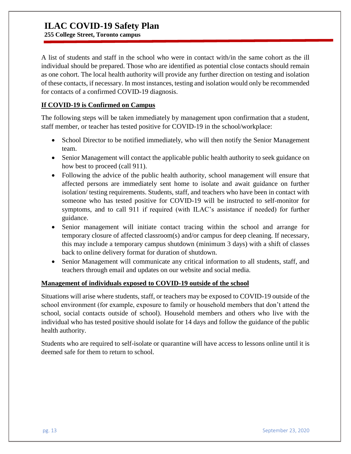**255 College Street, Toronto campus**

A list of students and staff in the school who were in contact with/in the same cohort as the ill individual should be prepared. Those who are identified as potential close contacts should remain as one cohort. The local health authority will provide any further direction on testing and isolation of these contacts, if necessary. In most instances, testing and isolation would only be recommended for contacts of a confirmed COVID-19 diagnosis.

#### **If COVID-19 is Confirmed on Campus**

The following steps will be taken immediately by management upon confirmation that a student, staff member, or teacher has tested positive for COVID-19 in the school/workplace:

- School Director to be notified immediately, who will then notify the Senior Management team.
- Senior Management will contact the applicable public health authority to seek guidance on how best to proceed (call 911).
- Following the advice of the public health authority, school management will ensure that affected persons are immediately sent home to isolate and await guidance on further isolation/ testing requirements. Students, staff, and teachers who have been in contact with someone who has tested positive for COVID-19 will be instructed to self-monitor for symptoms, and to call 911 if required (with ILAC's assistance if needed) for further guidance.
- Senior management will initiate contact tracing within the school and arrange for temporary closure of affected classroom(s) and/or campus for deep cleaning. If necessary, this may include a temporary campus shutdown (minimum 3 days) with a shift of classes back to online delivery format for duration of shutdown.
- Senior Management will communicate any critical information to all students, staff, and teachers through email and updates on our website and social media.

#### **Management of individuals exposed to COVID-19 outside of the school**

Situations will arise where students, staff, or teachers may be exposed to COVID-19 outside of the school environment (for example, exposure to family or household members that don't attend the school, social contacts outside of school). Household members and others who live with the individual who has tested positive should isolate for 14 days and follow the guidance of the public health authority.

Students who are required to self-isolate or quarantine will have access to lessons online until it is deemed safe for them to return to school.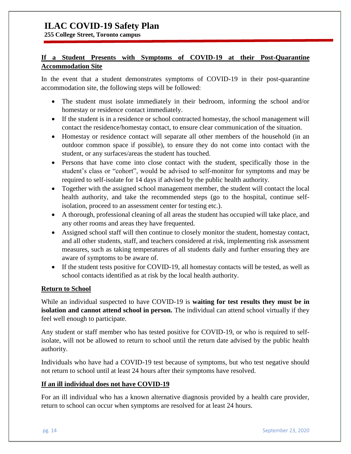**255 College Street, Toronto campus**

#### **If a Student Presents with Symptoms of COVID-19 at their Post-Quarantine Accommodation Site**

In the event that a student demonstrates symptoms of COVID-19 in their post-quarantine accommodation site, the following steps will be followed:

- The student must isolate immediately in their bedroom, informing the school and/or homestay or residence contact immediately.
- If the student is in a residence or school contracted homestay, the school management will contact the residence/homestay contact, to ensure clear communication of the situation.
- Homestay or residence contact will separate all other members of the household (in an outdoor common space if possible), to ensure they do not come into contact with the student, or any surfaces/areas the student has touched.
- Persons that have come into close contact with the student, specifically those in the student's class or "cohort", would be advised to self-monitor for symptoms and may be required to self-isolate for 14 days if advised by the public health authority.
- Together with the assigned school management member, the student will contact the local health authority, and take the recommended steps (go to the hospital, continue selfisolation, proceed to an assessment center for testing etc.).
- A thorough, professional cleaning of all areas the student has occupied will take place, and any other rooms and areas they have frequented.
- Assigned school staff will then continue to closely monitor the student, homestay contact, and all other students, staff, and teachers considered at risk, implementing risk assessment measures, such as taking temperatures of all students daily and further ensuring they are aware of symptoms to be aware of.
- If the student tests positive for COVID-19, all homestay contacts will be tested, as well as school contacts identified as at risk by the local health authority.

#### **Return to School**

While an individual suspected to have COVID-19 is **waiting for test results they must be in isolation and cannot attend school in person.** The individual can attend school virtually if they feel well enough to participate.

Any student or staff member who has tested positive for COVID-19, or who is required to selfisolate, will not be allowed to return to school until the return date advised by the public health authority.

Individuals who have had a COVID-19 test because of symptoms, but who test negative should not return to school until at least 24 hours after their symptoms have resolved.

#### **If an ill individual does not have COVID-19**

For an ill individual who has a known alternative diagnosis provided by a health care provider, return to school can occur when symptoms are resolved for at least 24 hours.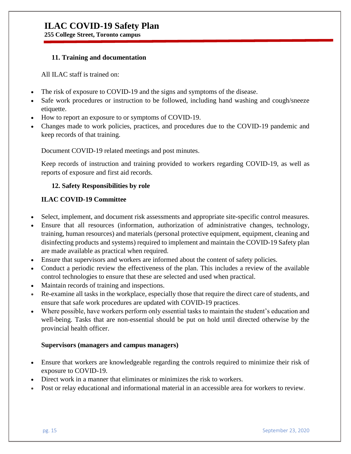**255 College Street, Toronto campus**

#### **11. Training and documentation**

All ILAC staff is trained on:

- The risk of exposure to COVID-19 and the signs and symptoms of the disease.
- Safe work procedures or instruction to be followed, including hand washing and cough/sneeze etiquette.
- How to report an exposure to or symptoms of COVID-19.
- Changes made to work policies, practices, and procedures due to the COVID-19 pandemic and keep records of that training.

Document COVID-19 related meetings and post minutes.

Keep records of instruction and training provided to workers regarding COVID-19, as well as reports of exposure and first aid records.

#### **12. Safety Responsibilities by role**

#### **ILAC COVID-19 Committee**

- Select, implement, and document risk assessments and appropriate site-specific control measures.
- Ensure that all resources (information, authorization of administrative changes, technology, training, human resources) and materials (personal protective equipment, equipment, cleaning and disinfecting products and systems) required to implement and maintain the COVID-19 Safety plan are made available as practical when required.
- Ensure that supervisors and workers are informed about the content of safety policies.
- Conduct a periodic review the effectiveness of the plan. This includes a review of the available control technologies to ensure that these are selected and used when practical.
- Maintain records of training and inspections.
- Re-examine all tasks in the workplace, especially those that require the direct care of students, and ensure that safe work procedures are updated with COVID-19 practices.
- Where possible, have workers perform only essential tasks to maintain the student's education and well-being. Tasks that are non-essential should be put on hold until directed otherwise by the provincial health officer.

#### **Supervisors (managers and campus managers)**

- Ensure that workers are knowledgeable regarding the controls required to minimize their risk of exposure to COVID-19.
- Direct work in a manner that eliminates or minimizes the risk to workers.
- Post or relay educational and informational material in an accessible area for workers to review.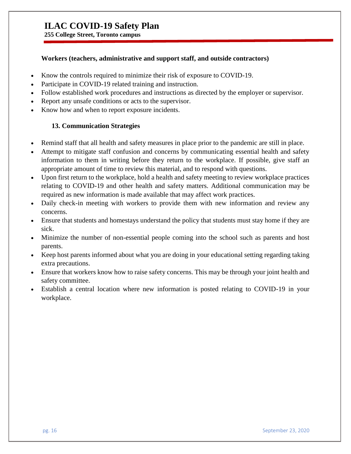**255 College Street, Toronto campus**

#### **Workers (teachers, administrative and support staff, and outside contractors)**

- Know the controls required to minimize their risk of exposure to COVID-19.
- Participate in COVID-19 related training and instruction.
- Follow established work procedures and instructions as directed by the employer or supervisor.
- Report any unsafe conditions or acts to the supervisor.
- Know how and when to report exposure incidents.

#### **13. Communication Strategies**

- Remind staff that all health and safety measures in place prior to the pandemic are still in place.
- Attempt to mitigate staff confusion and concerns by communicating essential health and safety information to them in writing before they return to the workplace. If possible, give staff an appropriate amount of time to review this material, and to respond with questions.
- Upon first return to the workplace, hold a health and safety meeting to review workplace practices relating to COVID-19 and other health and safety matters. Additional communication may be required as new information is made available that may affect work practices.
- Daily check-in meeting with workers to provide them with new information and review any concerns.
- Ensure that students and homestays understand the policy that students must stay home if they are sick.
- Minimize the number of non-essential people coming into the school such as parents and host parents.
- Keep host parents informed about what you are doing in your educational setting regarding taking extra precautions.
- Ensure that workers know how to raise safety concerns. This may be through your joint health and safety committee.
- Establish a central location where new information is posted relating to COVID-19 in your workplace.